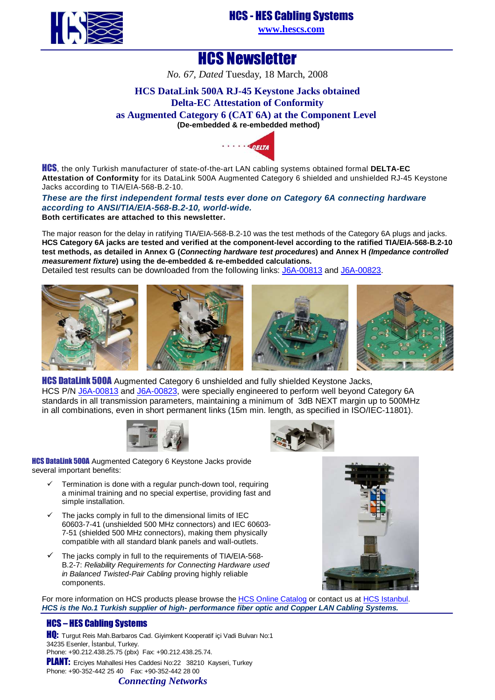

## HCS - HES Cabling Systems

**[www.hescs.com](http://www.hescs.com/)**

# HCS Newsletter

*No. 67, Dated* Tuesday, 18 March, 2008

### **HCS DataLink 500A RJ-45 Keystone Jacks obtained Delta-EC Attestation of Conformity as Augmented Category 6 (CAT 6A) at the Component Level (De-embedd[ed & re-embedd](http://www.delta.dk/C1256ED60044AA49/0/6ED62640D2E3172FC1256F1D00352CDA)ed method)**



HCS, the only Turkish manufacturer of state-of-the-art LAN cabling systems obtained formal **DELTA-EC Attestation of Conformity** for its DataLink 500A Augmented Category 6 shielded and unshielded RJ-45 Keystone Jacks according to TIA/EIA-568-B.2-10.

#### **These are the first independent formal tests ever done on Category 6A connecting hardware according to ANSI/TIA/EIA-568-B.2-10, world-wide. Both certificates are attached to this newsletter.**

The major reason for the delay in ratifying TIA/EIA-568-B.2-10 was the test methods of the Category 6A plugs and jacks. **HCS Category 6A jacks are tested and verified at the component-level according to the ratified TIA/EIA-568-B.2-10 test methods, as detailed in Annex G (Connecting hardware test procedures) and Annex H (Impedance controlled measurement fixture) using the de-embedded & re-embedded calculations.**

Detailed test results can be downloaded from the following links: [J6A-00813 and J6A-00823.](http://www.hescs.com/eng/reports/J6A-00813.pdf)









**HCS DataLink 500A** Augmented Category 6 unshielded and fully shielded Keystone Jacks, HCS P/N [J6A-00813 and J6A-00823, were specially engineered to perform well beyond Category 6A](http://www.hescs.com/katalogen/?dosya=110_5.htm)  standards in all transmission parameters, maintaining a minimum of 3dB NEXT margin up to 500MHz in all combinations, even in short permanent links (15m min. length, as specified in ISO/IEC-11801).





**HCS DataLink 500A** Augmented Category 6 Keystone Jacks provide several important benefits:

- Termination is done with a regular punch-down tool, requiring a minimal training and no special expertise, providing fast and simple installation.
- $\checkmark$  The jacks comply in full to the dimensional limits of IEC 60603-7-41 (unshielded 500 MHz connectors) and IEC 60603- 7-51 (shielded 500 MHz connectors), making them physically compatible with all standard blank panels and wall-outlets.
- $\checkmark$  The jacks comply in full to the requirements of TIA/EIA-568-B.2-7: Reliability Requirements for Connecting Hardware used in Balanced Twisted-Pair Cabling proving highly reliable components.



For more information on HCS products please browse th[e HCS Online Catalog or contact us a](http://hescs.com/katalogen/)[t HCS Istanbu](http://hescs.com/eng/?s=contact.php)l. **HCS is the No.1 Turkish supplier of high- performance fiber optic and Copper LAN Cabling Systems.** 

### HCS – HES Cabling Systems

**HQ:** Turgut Reis Mah.Barbaros Cad. Giyimkent Kooperatif içi Vadi Bulvarı No:1 34235 Esenler, İstanbul, Turkey. Phone: +90.212.438.25.75 (pbx) Fax: +90.212.438.25.74. PLANT: Erciyes Mahallesi Hes Caddesi No:22 38210 Kayseri, Turkey Phone: +90-352-442 25 40 Fax: +90-352-442 28 00

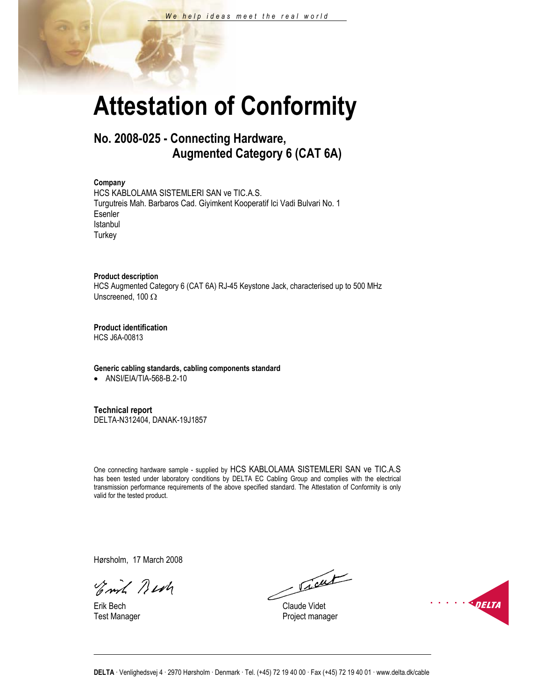# **Attestation of Conformity**

## **No. 2008-025 - Connecting Hardware, Augmented Category 6 (CAT 6A)**

#### **Compan***y*

HCS KABLOLAMA SISTEMLERI SAN ve TIC.A.S. Turgutreis Mah. Barbaros Cad. Giyimkent Kooperatif Ici Vadi Bulvari No. 1 Esenler Istanbul **Turkey** 

#### **Product description**

HCS Augmented Category 6 (CAT 6A) RJ-45 Keystone Jack, characterised up to 500 MHz Unscreened, 100 Ω

**Product identification**

HCS J6A-00813

#### **Generic cabling standards, cabling components standard**

• ANSI/EIA/TIA-568-B.2-10

**Technical report** 

DELTA-N312404, DANAK-19J1857

One connecting hardware sample - supplied by HCS KABLOLAMA SISTEMLERI SAN ve TIC.A.S has been tested under laboratory conditions by DELTA EC Cabling Group and complies with the electrical transmission performance requirements of the above specified standard. The Attestation of Conformity is only valid for the tested product.

Hørsholm, 17 March 2008

Emil Best

Jacob

Erik Bech Claude Videt Test Manager **Project manager** Project manager